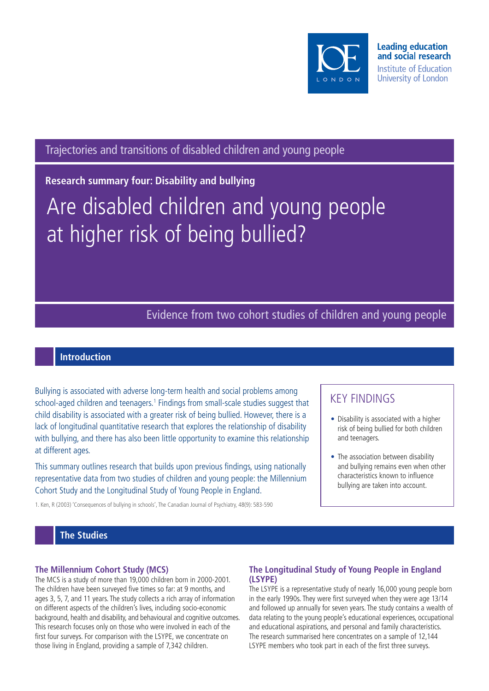

Trajectories and transitions of disabled children and young people

**Research summary four: Disability and bullying**

# Are disabled children and young people at higher risk of being bullied?

# Evidence from two cohort studies of children and young people

# **Introduction**

Bullying is associated with adverse long-term health and social problems among school-aged children and teenagers.<sup>1</sup> Findings from small-scale studies suggest that child disability is associated with a greater risk of being bullied. However, there is a lack of longitudinal quantitative research that explores the relationship of disability with bullying, and there has also been little opportunity to examine this relationship at different ages.

This summary outlines research that builds upon previous findings, using nationally representative data from two studies of children and young people: the Millennium Cohort Study and the Longitudinal Study of Young People in England.

1. Ken, R (2003) 'Consequences of bullying in schools', The Canadian Journal of Psychiatry, 48(9): 583-590

# KEY FINDINGS

- Disability is associated with a higher risk of being bullied for both children and teenagers.
- The association between disability and bullying remains even when other characteristics known to influence bullying are taken into account.

## **The Studies**

#### **The Millennium Cohort Study (MCS)**

The MCS is a study of more than 19,000 children born in 2000-2001. The children have been surveyed five times so far: at 9 months, and ages 3, 5, 7, and 11 years. The study collects a rich array of information on different aspects of the children's lives, including socio-economic background, health and disability, and behavioural and cognitive outcomes. This research focuses only on those who were involved in each of the first four surveys. For comparison with the LSYPE, we concentrate on those living in England, providing a sample of 7,342 children.

## **The Longitudinal Study of Young People in England (LSYPE)**

The LSYPE is a representative study of nearly 16,000 young people born in the early 1990s. They were first surveyed when they were age 13/14 and followed up annually for seven years. The study contains a wealth of data relating to the young people's educational experiences, occupational and educational aspirations, and personal and family characteristics. The research summarised here concentrates on a sample of 12,144 LSYPE members who took part in each of the first three surveys.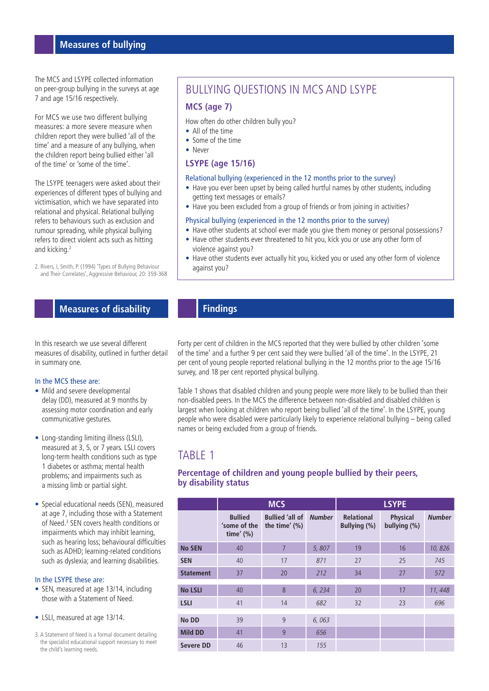## **Measures of bullying**

The MCS and LSYPE collected information on peer-group bullying in the surveys at age 7 and age 15/16 respectively.

For MCS we use two different bullying measures: a more severe measure when children report they were bullied 'all of the time' and a measure of any bullying, when the children report being bullied either 'all of the time' or 'some of the time'.

The LSYPE teenagers were asked about their experiences of different types of bullying and victimisation, which we have separated into relational and physical. Relational bullying refers to behaviours such as exclusion and rumour spreading, while physical bullying refers to direct violent acts such as hitting and kicking.2

2. Rivers, I, Smith, P. (1994) 'Types of Bullying Behaviour and Their Correlates', Aggressive Behaviour, 20: 359-368

# BULLYING QUESTIONS IN MCS AND LSYPE

#### **MCS (age 7)**

How often do other children bully you?

- All of the time
- Some of the time
- Never

#### **LSYPE (age 15/16)**

#### Relational bullying (experienced in the 12 months prior to the survey)

- Have you ever been upset by being called hurtful names by other students, including getting text messages or emails?
- Have you been excluded from a group of friends or from joining in activities?

#### Physical bullying (experienced in the 12 months prior to the survey)

- Have other students at school ever made you give them money or personal possessions?
- Have other students ever threatened to hit you, kick you or use any other form of violence against you?
- Have other students ever actually hit you, kicked you or used any other form of violence against you?

## **Measures of disability**

In this research we use several different measures of disability, outlined in further detail in summary one.

#### In the MCS these are:

- Mild and severe developmental delay (DD), measured at 9 months by assessing motor coordination and early communicative gestures.
- Long-standing limiting illness (LSLI). measured at 3, 5, or 7 years. LSLI covers long-term health conditions such as type 1 diabetes or asthma; mental health problems; and impairments such as a missing limb or partial sight.
- Special educational needs (SEN), measured at age 7, including those with a Statement of Need.<sup>3</sup> SEN covers health conditions or impairments which may inhibit learning, such as hearing loss; behavioural difficulties such as ADHD; learning-related conditions such as dyslexia; and learning disabilities.

#### In the LSYPE these are:

- SEN, measured at age 13/14, including those with a Statement of Need.
- LSLI, measured at age 13/14.
- 3. A Statement of Need is a formal document detailing the specialist educational support necessary to meet the child's learning needs.

# **Findings**

Forty per cent of children in the MCS reported that they were bullied by other children 'some of the time' and a further 9 per cent said they were bullied 'all of the time'. In the LSYPE, 21 per cent of young people reported relational bullying in the 12 months prior to the age 15/16 survey, and 18 per cent reported physical bullying.

Table 1 shows that disabled children and young people were more likely to be bullied than their non-disabled peers. In the MCS the difference between non-disabled and disabled children is largest when looking at children who report being bullied 'all of the time'. In the LSYPE, young people who were disabled were particularly likely to experience relational bullying – being called names or being excluded from a group of friends.

# TABLE 1

#### **Percentage of children and young people bullied by their peers, by disability status**

|                  | <b>MCS</b>                                     |                                            |               | <b>LSYPE</b>                         |                                 |               |
|------------------|------------------------------------------------|--------------------------------------------|---------------|--------------------------------------|---------------------------------|---------------|
|                  | <b>Bullied</b><br>'some of the<br>time' $(\%)$ | <b>Bullied 'all of</b><br>the time' $(\%)$ | <b>Number</b> | <b>Relational</b><br>Bullying $(\%)$ | <b>Physical</b><br>bullying (%) | <b>Number</b> |
| <b>No SEN</b>    | 40                                             | 7                                          | 5,807         | 19                                   | 16                              | 10,826        |
| <b>SEN</b>       | 40                                             | 17                                         | 871           | 27                                   | 25                              | 745           |
| <b>Statement</b> | 37                                             | 20                                         | 212           | 34                                   | 27                              | 572           |
| <b>No LSLI</b>   | 40                                             | 8                                          | 6, 234        | 20                                   | 17                              | 11, 448       |
| <b>LSLI</b>      | 41                                             | 14                                         | 682           | 32                                   | 23                              | 696           |
| No DD            | 39                                             | 9                                          | 6,063         |                                      |                                 |               |
| <b>Mild DD</b>   | 41                                             | 9                                          | 656           |                                      |                                 |               |
| <b>Severe DD</b> | 46                                             | 13                                         | 155           |                                      |                                 |               |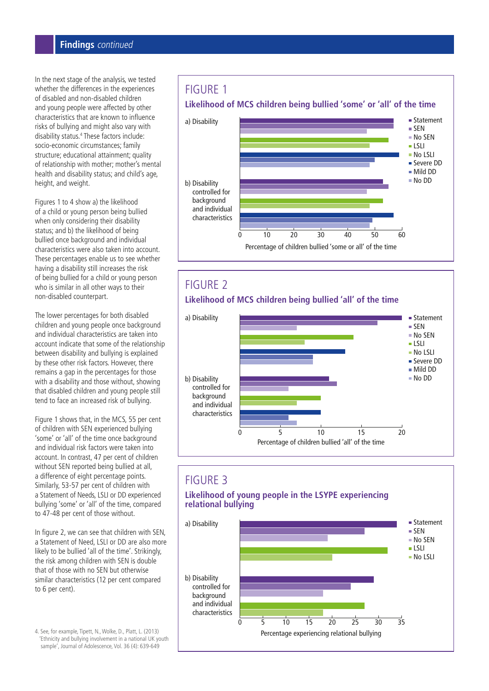## **Findings** continued

In the next stage of the analysis, we tested whether the differences in the experiences of disabled and non-disabled children and young people were affected by other characteristics that are known to influence risks of bullying and might also vary with disability status.4 These factors include: socio-economic circumstances; family structure; educational attainment; quality of relationship with mother; mother's mental health and disability status; and child's age, height, and weight.

Figures 1 to 4 show a) the likelihood of a child or young person being bullied when only considering their disability status; and b) the likelihood of being bullied once background and individual characteristics were also taken into account. These percentages enable us to see whether having a disability still increases the risk of being bullied for a child or young person who is similar in all other ways to their non-disabled counterpart.

The lower percentages for both disabled children and young people once background and individual characteristics are taken into account indicate that some of the relationship between disability and bullying is explained by these other risk factors. However, there remains a gap in the percentages for those with a disability and those without, showing that disabled children and young people still tend to face an increased risk of bullying.

Figure 1 shows that, in the MCS, 55 per cent of children with SEN experienced bullying 'some' or 'all' of the time once background and individual risk factors were taken into account. In contrast, 47 per cent of children without SEN reported being bullied at all, a difference of eight percentage points. Similarly, 53-57 per cent of children with a Statement of Needs, LSLI or DD experienced bullying 'some' or 'all' of the time, compared to 47-48 per cent of those without.

In figure 2, we can see that children with SEN, a Statement of Need, LSLI or DD are also more likely to be bullied 'all of the time'. Strikingly, the risk among children with SEN is double that of those with no SEN but otherwise similar characteristics (12 per cent compared to 6 per cent).

4. See, for example, Tipett, N., Wolke, D., Platt, L. (2013) 'Ethnicity and bullying involvement in a national UK youth sample', Journal of Adolescence, Vol. 36 (4): 639-649





# FIGURE 2 **Likelihood of MCS children being bullied 'all' of the time**



# FIGURE 3

#### **Likelihood of young people in the LSYPE experiencing relational bullying**